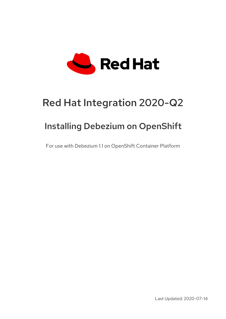

# Red Hat Integration 2020-Q2

# Installing Debezium on OpenShift

For use with Debezium 1.1 on OpenShift Container Platform

Last Updated: 2020-07-14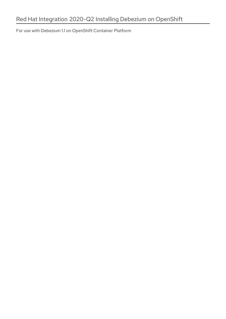For use with Debezium 1.1 on OpenShift Container Platform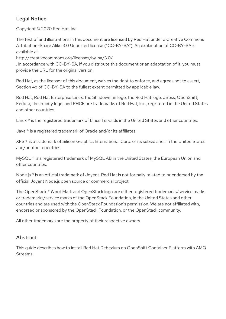## Legal Notice

Copyright © 2020 Red Hat, Inc.

The text of and illustrations in this document are licensed by Red Hat under a Creative Commons Attribution–Share Alike 3.0 Unported license ("CC-BY-SA"). An explanation of CC-BY-SA is available at

http://creativecommons.org/licenses/by-sa/3.0/

. In accordance with CC-BY-SA, if you distribute this document or an adaptation of it, you must provide the URL for the original version.

Red Hat, as the licensor of this document, waives the right to enforce, and agrees not to assert, Section 4d of CC-BY-SA to the fullest extent permitted by applicable law.

Red Hat, Red Hat Enterprise Linux, the Shadowman logo, the Red Hat logo, JBoss, OpenShift, Fedora, the Infinity logo, and RHCE are trademarks of Red Hat, Inc., registered in the United States and other countries.

Linux ® is the registered trademark of Linus Torvalds in the United States and other countries.

Java ® is a registered trademark of Oracle and/or its affiliates.

XFS ® is a trademark of Silicon Graphics International Corp. or its subsidiaries in the United States and/or other countries.

MySQL<sup>®</sup> is a registered trademark of MySQL AB in the United States, the European Union and other countries.

Node.js ® is an official trademark of Joyent. Red Hat is not formally related to or endorsed by the official Joyent Node.js open source or commercial project.

The OpenStack ® Word Mark and OpenStack logo are either registered trademarks/service marks or trademarks/service marks of the OpenStack Foundation, in the United States and other countries and are used with the OpenStack Foundation's permission. We are not affiliated with, endorsed or sponsored by the OpenStack Foundation, or the OpenStack community.

All other trademarks are the property of their respective owners.

### Abstract

This guide describes how to install Red Hat Debezium on OpenShift Container Platform with AMQ Streams.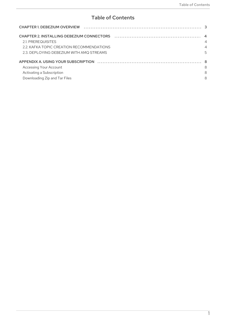## **Table of Contents**

| CHAPTER 2. INSTALLING DEBEZIUM CONNECTORS (and construction of the control of the 4 |                |
|-------------------------------------------------------------------------------------|----------------|
| 2.1. PREREQUISITES                                                                  | $\overline{4}$ |
| 2.2. KAFKA TOPIC CREATION RECOMMENDATIONS                                           | $\overline{4}$ |
| 2.3. DEPLOYING DEBEZIUM WITH AMQ STREAMS                                            | 5              |
|                                                                                     |                |
| Accessing Your Account                                                              | 8              |
| Activating a Subscription                                                           | 8              |
| Downloading Zip and Tar Files                                                       | 8              |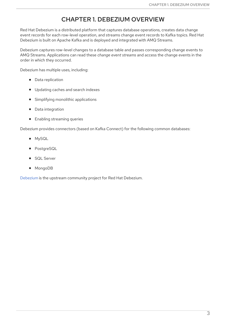## CHAPTER 1. DEBEZIUM OVERVIEW

<span id="page-6-0"></span>Red Hat Debezium is a distributed platform that captures database operations, creates data change event records for each row-level operation, and streams change event records to Kafka topics. Red Hat Debezium is built on Apache Kafka and is deployed and integrated with AMQ Streams.

Debezium captures row-level changes to a database table and passes corresponding change events to AMQ Streams. Applications can read these *change event streams* and access the change events in the order in which they occurred.

Debezium has multiple uses, including:

- Data replication
- Updating caches and search indexes
- Simplifying monolithic applications
- Data integration
- **•** Enabling streaming queries

Debezium provides connectors (based on Kafka Connect) for the following common databases:

- MySQL
- PostgreSQL
- SQL Server
- MongoDB

[Debezium](https://github.com/debezium/debezium) is the upstream community project for Red Hat Debezium.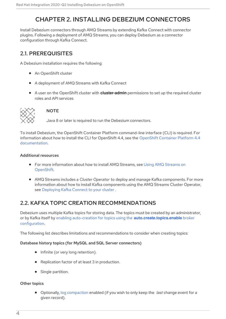# CHAPTER 2. INSTALLING DEBEZIUM CONNECTORS

<span id="page-7-0"></span>Install Debezium connectors through AMQ Streams by extending Kafka Connect with connector plugins. Following a deployment of AMQ Streams, you can deploy Debezium as a connector configuration through Kafka Connect.

## <span id="page-7-1"></span>2.1. PREREQUISITES

A Debezium installation requires the following:

- An OpenShift cluster
- A deployment of AMQ Streams with Kafka Connect
- A user on the OpenShift cluster with **cluster-admin** permissions to set up the required cluster roles and API services



#### **NOTE**

Java 8 or later is required to run the Debezium connectors.

To install Debezium, the OpenShift Container Platform command-line interface (CLI) is required. For information about how to install the CLI for OpenShift 4.4, see the OpenShift Container Platform 4.4 [documentation.](https://access.redhat.com/documentation/en-us/openshift_container_platform/4.4/html/cli_tools/openshift-cli-oc?#cli-installing-cli_cli-developer-commands)

#### Additional resources

- For more [information](https://access.redhat.com/documentation/en-us/red_hat_amq/7.7/html-single/using_amq_streams_on_openshift/index) about how to install AMQ Streams, see Using AMQ Streams on OpenShift.
- AMQ Streams includes a *Cluster Operator* to deploy and manage Kafka components. For more information about how to install Kafka components using the AMQ Streams Cluster Operator, see [Deploying](https://access.redhat.com/documentation/en-us/red_hat_amq/7.7/html-single/using_amq_streams_on_openshift/index#deploying-kafka-connect-str) Kafka Connect to your cluster .

## <span id="page-7-2"></span>2.2. KAFKA TOPIC CREATION RECOMMENDATIONS

Debezium uses multiple Kafka topics for storing data. The topics must be created by an administrator, or by Kafka itself by enabling auto-creation for topics using the **[auto.create.topics.enable](https://access.redhat.com/documentation/en-us/red_hat_amq/7.7/html-single/using_amq_streams_on_openshift/index#ref-sample-kafka-resource-config-deployment-configuration-kafka)** broker configuration.

The following list describes limitations and recommendations to consider when creating topics:

#### Database history topics (for MySQL and SQL Server connectors)

- Infinite (or very long retention).
- Replication factor of at least 3 in production.
- Single partition.

#### Other topics

Optionally, log [compaction](https://kafka.apache.org/documentation/#compaction) enabled (if you wish to only keep the *last* change event for a given record).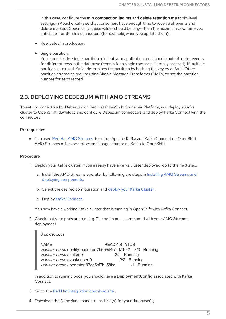In this case, configure the **min.compaction.lag.ms** and **delete.retention.ms** topic-level settings in Apache Kafka so that consumers have enough time to receive all events and delete markers. Specifically, these values should be larger than the maximum downtime you anticipate for the sink connectors (for example, when you update them).

- Replicated in production.
- Single partition.

You can relax the single partition rule, but your application must handle out-of-order events for different rows in the database (events for a single row are still totally ordered). If multiple partitions are used, Kafka determines the partition by hashing the key by default. Other partition strategies require using Simple Message Transforms (SMTs) to set the partition number for each record.

### <span id="page-8-0"></span>2.3. DEPLOYING DEBEZIUM WITH AMQ STREAMS

To set up connectors for Debezium on Red Hat OpenShift Container Platform, you deploy a Kafka cluster to OpenShift, download and configure Debezium connectors, and deploy Kafka Connect with the connectors.

#### **Prerequisites**

● You used Red Hat AMQ [Streams](https://access.redhat.com/products/red-hat-amq#streams) to set up Apache Kafka and Kafka Connect on OpenShift. AMQ Streams offers operators and images that bring Kafka to OpenShift.

#### Procedure

- 1. Deploy your Kafka cluster. If you already have a Kafka cluster deployed, go to the next step.
	- a. Install the AMQ Streams operator by following the steps in Installing AMQ Streams and deploying [components.](https://access.redhat.com/documentation/en-us/red_hat_amq/7.7/html-single/using_amq_streams_on_openshift/index#downloads-str)
	- b. Select the desired configuration and deploy your Kafka [Cluster](https://access.redhat.com/documentation/en-us/red_hat_amq/7.7/html-single/using_amq_streams_on_openshift/index#deploying-kafka-cluster-str) .
	- c. Deploy Kafka [Connect](https://access.redhat.com/documentation/en-us/red_hat_amq/7.7/html-single/using_amq_streams_on_openshift/index#deploying-kafka-connect-str).

You now have a working Kafka cluster that is running in OpenShift with Kafka Connect.

2. Check that your pods are running. The pod names correspond with your AMQ Streams deployment.

\$ oc get pods

NAME READY STATUS *<cluster-name>*-entity-operator-7b6b9d4c5f-k7b92 3/3 Running *<cluster-name>*-kafka-0 2/2 Running *<cluster-name>*-zookeeper-0 2/2 Running *<cluster-name>*-operator-97cd5cf7b-l58bq 1/1 Running

In addition to running pods, you should have a DeploymentConfig associated with Kafka Connect.

- 3. Go to the Red Hat [Integration](https://access.redhat.com/jbossnetwork/restricted/listSoftware.html?product=red.hat.integration&downloadType=distributions) download site .
- 4. Download the Debezium connector archive(s) for your database(s).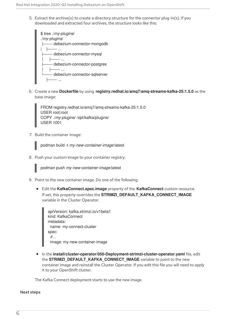5. Extract the archive(s) to create a directory structure for the connector plug-in(s). If you downloaded and extracted four archives, the structure looks like this:



6. Create a new **Dockerfile** by using **registry.redhat.io/amq7/amq-streams-kafka-25:1.5.0** as the base image:

FROM registry.redhat.io/amq7/amq-streams-kafka-25:1.5.0 USER root:root COPY ./*my-plugins*/ /opt/kafka/plugins/ USER 1001

7. Build the container image:

podman build -t *my-new-container-image*:latest

8. Push your custom image to your container registry:

podman push *my-new-container-image*:latest

- 9. Point to the new container image. Do one of the following:
	- Edit the **KafkaConnect.spec.image** property of the **KafkaConnect** custom resource. If set, this property overrides the **STRIMZI\_DEFAULT\_KAFKA\_CONNECT\_IMAGE** variable in the Cluster Operator.

apiVersion: kafka.strimzi.io/v1beta1 kind: KafkaConnect metadata: name: my-connect-cluster spec: *#...* image: my-new-container-image

In the **install/cluster-operator/050-Deployment-strimzi-cluster-operator.yaml** file, edit the **STRIMZI\_DEFAULT\_KAFKA\_CONNECT\_IMAGE** variable to point to the new container image and reinstall the Cluster Operator. If you edit this file you will need to apply it to your OpenShift cluster.

The Kafka Connect deployment starts to use the new image.

#### Next steps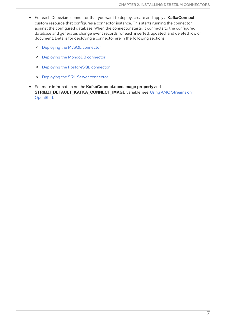- For each Debezium connector that you want to deploy, create and apply a **KafkaConnect** custom resource that configures a connector instance. This starts running the connector against the configured database. When the connector starts, it connects to the configured database and generates change event records for each inserted, updated, and deleted row or document. Details for deploying a connector are in the following sections:
	- **o** Deploying the MySQL [connector](https://access.redhat.com/documentation/en-us/red_hat_integration/2020-Q2/html-single/debezium_user_guide/index#deploy-the-mysql-connector)
	- Deploying the MongoDB [connector](https://access.redhat.com/documentation/en-us/red_hat_integration/2020-Q2/html-single/debezium_user_guide/index#mongodb-deploying-a-connector)
	- Deploying the [PostgreSQL](https://access.redhat.com/documentation/en-us/red_hat_integration/2020-Q2/html-single/debezium_user_guide/index#deploying-a-connector) connector
	- **o** Deploying the SQL Server [connector](https://access.redhat.com/documentation/en-us/red_hat_integration/2020-Q2/html-single/debezium_user_guide/index#sqlserver-deploying-a-connector)
- For more information on the **KafkaConnect.spec.image property** and **[STRIMZI\\_DEFAULT\\_KAFKA\\_CONNECT\\_IMAGE](https://access.redhat.com/documentation/en-us/red_hat_amq/7.7/html-single/using_amq_streams_on_openshift/index)** variable, see Using AMQ Streams on OpenShift.